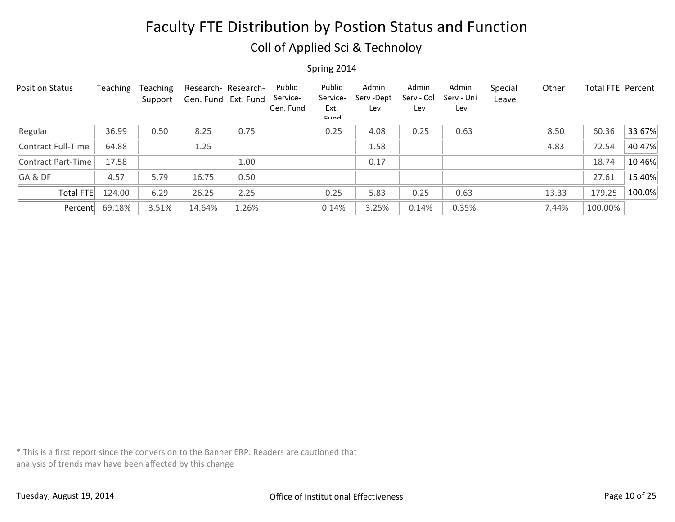## Coll of Applied Sci & Technoloy

#### Spring 2014

| <b>Position Status</b> | Teaching | <b>Teaching</b><br>Support | Research- Research-<br>Gen. Fund Ext. Fund |       | Public<br>Service-<br>Gen. Fund | Public<br>Service-<br>Ext.<br>Eund | Admin<br>Serv-Dept<br>Lev | Admin<br>Serv - Col<br>Lev | Admin<br>Serv - Uni<br>Lev | Special<br>Leave | Other | Total FTE Percent |        |
|------------------------|----------|----------------------------|--------------------------------------------|-------|---------------------------------|------------------------------------|---------------------------|----------------------------|----------------------------|------------------|-------|-------------------|--------|
| Regular                | 36.99    | 0.50                       | 8.25                                       | 0.75  |                                 | 0.25                               | 4.08                      | 0.25                       | 0.63                       |                  | 8.50  | 60.36             | 33.67% |
| Contract Full-Time     | 64.88    |                            | 1.25                                       |       |                                 |                                    | 1.58                      |                            |                            |                  | 4.83  | 72.54             | 40.47% |
| Contract Part-Time     | 17.58    |                            |                                            | 1.00  |                                 |                                    | 0.17                      |                            |                            |                  |       | 18.74             | 10.46% |
| GA&DF                  | 4.57     | 5.79                       | 16.75                                      | 0.50  |                                 |                                    |                           |                            |                            |                  |       | 27.61             | 15.40% |
| Total FTE              | 124.00   | 6.29                       | 26.25                                      | 2.25  |                                 | 0.25                               | 5.83                      | 0.25                       | 0.63                       |                  | 13.33 | 179.25            | 100.0% |
| Percent                | 69.18%   | 3.51%                      | 14.64%                                     | 1.26% |                                 | 0.14%                              | 3.25%                     | 0.14%                      | 0.35%                      |                  | 7.44% | 100.00%           |        |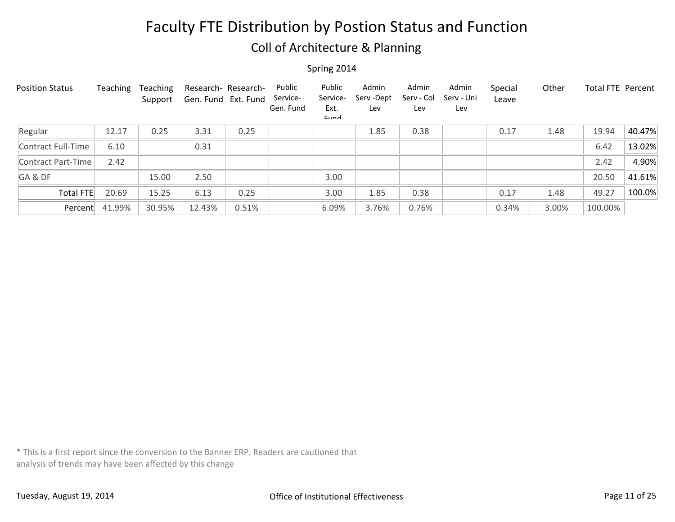## Coll of Architecture & Planning

#### Spring 2014

| <b>Position Status</b> | Teaching | Teaching<br>Support | Research- Research-<br>Gen. Fund Ext. Fund |       | Public<br>Service-<br>Gen. Fund | Public<br>Service-<br>Ext.<br>Eund | Admin<br>Serv-Dept<br>Lev | Admin<br>Serv - Col<br>Lev | Admin<br>Serv - Uni<br>Lev | Special<br>Leave | Other | Total FTE Percent |        |
|------------------------|----------|---------------------|--------------------------------------------|-------|---------------------------------|------------------------------------|---------------------------|----------------------------|----------------------------|------------------|-------|-------------------|--------|
| Regular                | 12.17    | 0.25                | 3.31                                       | 0.25  |                                 |                                    | 1.85                      | 0.38                       |                            | 0.17             | 1.48  | 19.94             | 40.47% |
| Contract Full-Time     | 6.10     |                     | 0.31                                       |       |                                 |                                    |                           |                            |                            |                  |       | 6.42              | 13.02% |
| Contract Part-Time     | 2.42     |                     |                                            |       |                                 |                                    |                           |                            |                            |                  |       | 2.42              | 4.90%  |
| GA&DF                  |          | 15.00               | 2.50                                       |       |                                 | 3.00                               |                           |                            |                            |                  |       | 20.50             | 41.61% |
| Total FTE              | 20.69    | 15.25               | 6.13                                       | 0.25  |                                 | 3.00                               | 1.85                      | 0.38                       |                            | 0.17             | 1.48  | 49.27             | 100.0% |
| Percent                | 41.99%   | 30.95%              | 12.43%                                     | 0.51% |                                 | 6.09%                              | 3.76%                     | 0.76%                      |                            | 0.34%            | 3.00% | 100.00%           |        |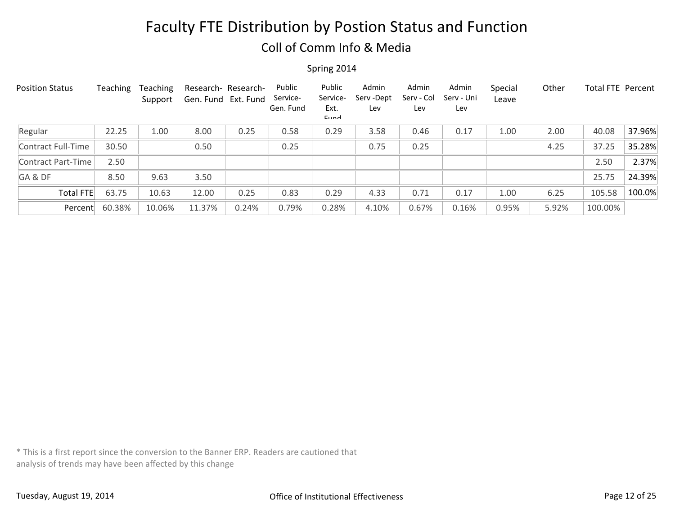## Coll of Comm Info & Media

#### Spring 2014

| <b>Position Status</b> | Teaching | <b>Teaching</b><br>Support | Gen. Fund Ext. Fund | Research-Research- | Public<br>Service-<br>Gen. Fund | Public<br>Service-<br>Ext.<br>Eund | Admin<br>Serv-Dept<br>Lev | Admin<br>Serv - Col<br>Lev | Admin<br>Serv - Uni<br>Lev | Special<br>Leave | Other | <b>Total FTE Percent</b> |        |
|------------------------|----------|----------------------------|---------------------|--------------------|---------------------------------|------------------------------------|---------------------------|----------------------------|----------------------------|------------------|-------|--------------------------|--------|
| Regular                | 22.25    | 1.00                       | 8.00                | 0.25               | 0.58                            | 0.29                               | 3.58                      | 0.46                       | 0.17                       | 1.00             | 2.00  | 40.08                    | 37.96% |
| Contract Full-Time     | 30.50    |                            | 0.50                |                    | 0.25                            |                                    | 0.75                      | 0.25                       |                            |                  | 4.25  | 37.25                    | 35.28% |
| Contract Part-Time     | 2.50     |                            |                     |                    |                                 |                                    |                           |                            |                            |                  |       | 2.50                     | 2.37%  |
| GA&DF                  | 8.50     | 9.63                       | 3.50                |                    |                                 |                                    |                           |                            |                            |                  |       | 25.75                    | 24.39% |
| Total FTE              | 63.75    | 10.63                      | 12.00               | 0.25               | 0.83                            | 0.29                               | 4.33                      | 0.71                       | 0.17                       | 1.00             | 6.25  | 105.58                   | 100.0% |
| Percent                | 60.38%   | 10.06%                     | 11.37%              | 0.24%              | 0.79%                           | 0.28%                              | 4.10%                     | 0.67%                      | 0.16%                      | 0.95%            | 5.92% | 100.00%                  |        |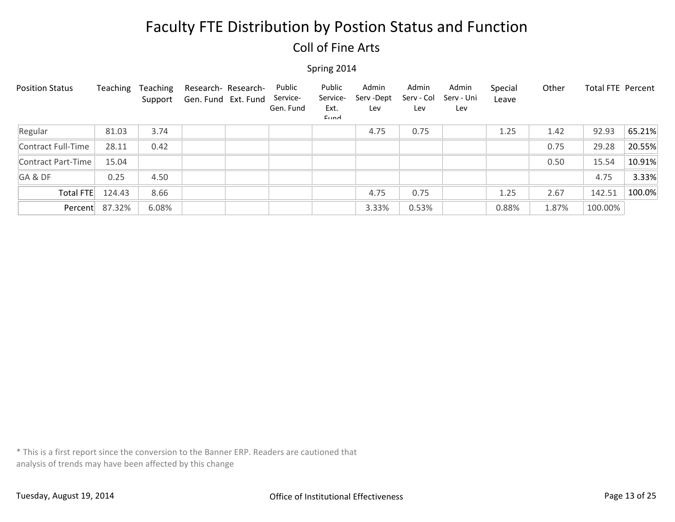## Coll of Fine Arts

#### Spring 2014

| <b>Position Status</b> | Teaching | Teaching<br>Support | Gen. Fund Ext. Fund | Research- Research- | Public<br>Service-<br>Gen. Fund | Public<br>Service-<br>Ext.<br>Eund | Admin<br>Serv-Dept<br>Lev | Admin<br>Serv - Col<br>Lev | Admin<br>Serv - Uni<br>Lev | Special<br>Leave | Other | Total FTE Percent |        |
|------------------------|----------|---------------------|---------------------|---------------------|---------------------------------|------------------------------------|---------------------------|----------------------------|----------------------------|------------------|-------|-------------------|--------|
| Regular                | 81.03    | 3.74                |                     |                     |                                 |                                    | 4.75                      | 0.75                       |                            | 1.25             | 1.42  | 92.93             | 65.21% |
| Contract Full-Time     | 28.11    | 0.42                |                     |                     |                                 |                                    |                           |                            |                            |                  | 0.75  | 29.28             | 20.55% |
| Contract Part-Time     | 15.04    |                     |                     |                     |                                 |                                    |                           |                            |                            |                  | 0.50  | 15.54             | 10.91% |
| GA&DF                  | 0.25     | 4.50                |                     |                     |                                 |                                    |                           |                            |                            |                  |       | 4.75              | 3.33%  |
| <b>Total FTE</b>       | 124.43   | 8.66                |                     |                     |                                 |                                    | 4.75                      | 0.75                       |                            | 1.25             | 2.67  | 142.51            | 100.0% |
| Percent                | 87.32%   | 6.08%               |                     |                     |                                 |                                    | 3.33%                     | 0.53%                      |                            | 0.88%            | 1.87% | 100.00%           |        |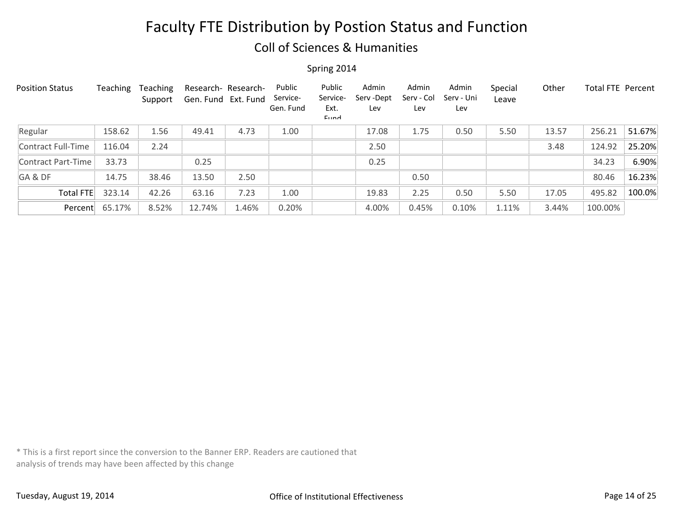### Coll of Sciences & Humanities

#### Spring 2014

| <b>Position Status</b> | Teaching | Teaching<br>Support | Research- Research-<br>Gen. Fund Ext. Fund |       | Public<br>Service-<br>Gen. Fund | Public<br>Service-<br>Ext.<br>Eund | Admin<br>Serv-Dept<br>Lev | Admin<br>Serv - Col<br>Lev | Admin<br>Serv - Uni<br>Lev | Special<br>Leave | Other | Total FTE Percent |        |
|------------------------|----------|---------------------|--------------------------------------------|-------|---------------------------------|------------------------------------|---------------------------|----------------------------|----------------------------|------------------|-------|-------------------|--------|
| Regular                | 158.62   | 1.56                | 49.41                                      | 4.73  | 1.00                            |                                    | 17.08                     | 1.75                       | 0.50                       | 5.50             | 13.57 | 256.21            | 51.67% |
| Contract Full-Time     | 116.04   | 2.24                |                                            |       |                                 |                                    | 2.50                      |                            |                            |                  | 3.48  | 124.92            | 25.20% |
| Contract Part-Time     | 33.73    |                     | 0.25                                       |       |                                 |                                    | 0.25                      |                            |                            |                  |       | 34.23             | 6.90%  |
| GA&DF                  | 14.75    | 38.46               | 13.50                                      | 2.50  |                                 |                                    |                           | 0.50                       |                            |                  |       | 80.46             | 16.23% |
| Total FTE              | 323.14   | 42.26               | 63.16                                      | 7.23  | 1.00                            |                                    | 19.83                     | 2.25                       | 0.50                       | 5.50             | 17.05 | 495.82            | 100.0% |
| Percent                | 65.17%   | 8.52%               | 12.74%                                     | 1.46% | 0.20%                           |                                    | 4.00%                     | 0.45%                      | 0.10%                      | 1.11%            | 3.44% | 100.00%           |        |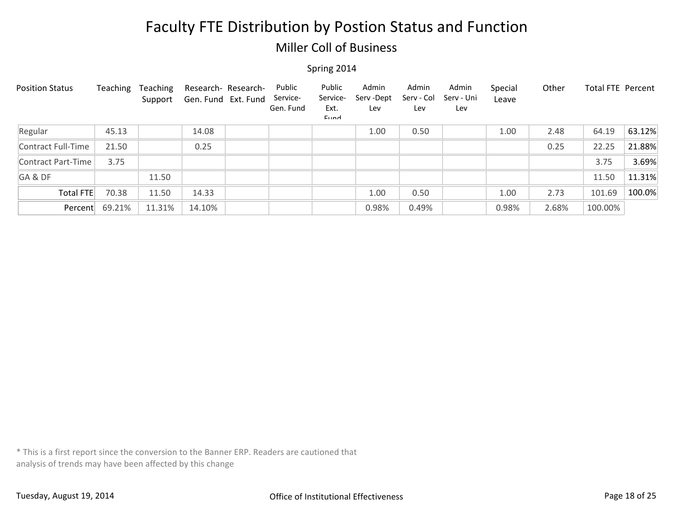## Miller Coll of Business

#### Spring 2014

| <b>Position Status</b> | Teaching | Teaching<br>Support | Gen. Fund Ext. Fund | Research- Research- | Public<br>Service-<br>Gen. Fund | Public<br>Service-<br>Ext.<br>$E$ <sub>IIM</sub> | Admin<br>Serv -Dept<br>Lev | Admin<br>Serv - Col<br>Lev | Admin<br>Serv - Uni<br>Lev | Special<br>Leave | Other | Total FTE Percent |        |
|------------------------|----------|---------------------|---------------------|---------------------|---------------------------------|--------------------------------------------------|----------------------------|----------------------------|----------------------------|------------------|-------|-------------------|--------|
| Regular                | 45.13    |                     | 14.08               |                     |                                 |                                                  | 1.00                       | 0.50                       |                            | 1.00             | 2.48  | 64.19             | 63.12% |
| Contract Full-Time     | 21.50    |                     | 0.25                |                     |                                 |                                                  |                            |                            |                            |                  | 0.25  | 22.25             | 21.88% |
| Contract Part-Time     | 3.75     |                     |                     |                     |                                 |                                                  |                            |                            |                            |                  |       | 3.75              | 3.69%  |
| GA&DF                  |          | 11.50               |                     |                     |                                 |                                                  |                            |                            |                            |                  |       | 11.50             | 11.31% |
| Total FTE              | 70.38    | 11.50               | 14.33               |                     |                                 |                                                  | 1.00                       | 0.50                       |                            | 1.00             | 2.73  | 101.69            | 100.0% |
| Percent                | 69.21%   | 11.31%              | 14.10%              |                     |                                 |                                                  | 0.98%                      | 0.49%                      |                            | 0.98%            | 2.68% | 100.00%           |        |